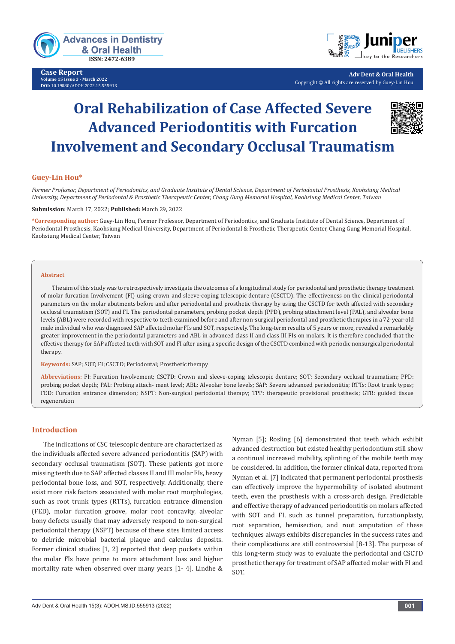

**Case Report Volume 15 Issue 3 - March 2022 DOI:** [10.19080/ADOH.2022.15.555](http://dx.doi.org/10.19080/ADOH.2022.15.555913)913



**Adv Dent & Oral Health** Copyright © All rights are reserved by Guey-Lin Hou

# **Oral Rehabilization of Case Affected Severe Advanced Periodontitis with Furcation Involvement and Secondary Occlusal Traumatism**

# **Guey-Lin Hou\***

*Former Professor, Department of Periodontics, and Graduate Institute of Dental Science, Department of Periodontal Prosthesis, Kaohsiung Medical University, Department of Periodontal & Prosthetic Therapeutic Center, Chang Gung Memorial Hospital, Kaohsiung Medical Center, Taiwan*

### **Submission**: March 17, 2022; **Published:** March 29, 2022

**\*Corresponding author:** Guey-Lin Hou, Former Professor, Department of Periodontics, and Graduate Institute of Dental Science, Department of Periodontal Prosthesis, Kaohsiung Medical University, Department of Periodontal & Prosthetic Therapeutic Center, Chang Gung Memorial Hospital, Kaohsiung Medical Center, Taiwan

### **Abstract**

The aim of this study was to retrospectively investigate the outcomes of a longitudinal study for periodontal and prosthetic therapy treatment of molar furcation Involvement (FI) using crown and sleeve-coping telescopic denture (CSCTD). The effectiveness on the clinical periodontal parameters on the molar abutments before and after periodontal and prosthetic therapy by using the CSCTD for teeth affected with secondary occlusal traumatism (SOT) and FI. The periodontal parameters, probing pocket depth (PPD), probing attachment level (PAL), and alveolar bone levels (ABL) were recorded with respective to teeth examined before and after non-surgical periodontal and prosthetic therapies in a 72-year-old male individual who was diagnosed SAP affected molar FIs and SOT, respectively. The long-term results of 5 years or more, revealed a remarkably greater improvement in the periodontal parameters and ABL in advanced class II and class III FIs on molars. It is therefore concluded that the effective therapy for SAP affected teeth with SOT and FI after using a specific design of the CSCTD combined with periodic nonsurgical periodontal therapy.

**Keywords:** SAP; SOT; FI; CSCTD; Periodontal; Prosthetic therapy

**Abbreviations:** FI: Furcation Involvement; CSCTD: Crown and sleeve-coping telescopic denture; SOT: Secondary occlusal traumatism; PPD: probing pocket depth; PAL: Probing attach- ment level; ABL: Alveolar bone levels; SAP: Severe advanced periodontitis; RTTs: Root trunk types; FED: Furcation entrance dimension; NSPT: Non-surgical periodontal therapy; TPP: therapeutic provisional prosthesis; GTR: guided tissue regeneration

# **Introduction**

The indications of CSC telescopic denture are characterized as the individuals affected severe advanced periodontitis (SAP) with secondary occlusal traumatism (SOT). These patients got more missing teeth due to SAP affected classes II and III molar FIs, heavy periodontal bone loss, and SOT, respectively. Additionally, there exist more risk factors associated with molar root morphologies, such as root trunk types (RTTs), furcation entrance dimension (FED), molar furcation groove, molar root concavity, alveolar bony defects usually that may adversely respond to non-surgical periodontal therapy (NSPT) because of these sites limited access to debride microbial bacterial plaque and calculus deposits. Former clinical studies [1, 2] reported that deep pockets within the molar FIs have prime to more attachment loss and higher mortality rate when observed over many years [1- 4]. Lindhe &

Nyman [5]; Rosling [6] demonstrated that teeth which exhibit advanced destruction but existed healthy periodontium still show a continual increased mobility, splinting of the mobile teeth may be considered. In addition, the former clinical data, reported from Nyman et al. [7] indicated that permanent periodontal prosthesis can effectively improve the hypermobility of isolated abutment teeth, even the prosthesis with a cross-arch design. Predictable and effective therapy of advanced periodontitis on molars affected with SOT and FI, such as tunnel preparation, furcationplasty, root separation, hemisection, and root amputation of these techniques always exhibits discrepancies in the success rates and their complications are still controversial [8-13]. The purpose of this long-term study was to evaluate the periodontal and CSCTD prosthetic therapy for treatment of SAP affected molar with FI and SOT.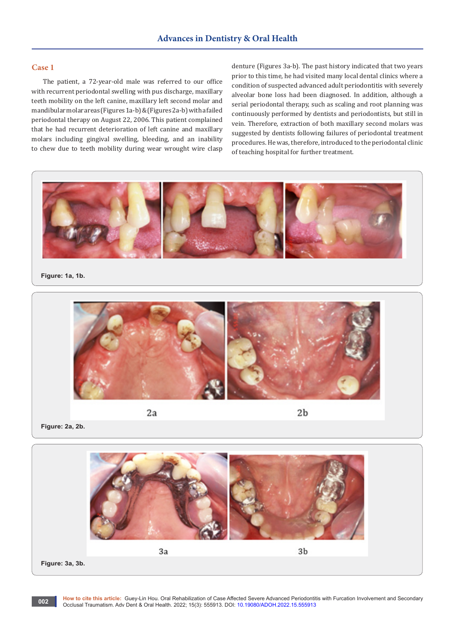# **Case 1**

The patient, a 72-year-old male was referred to our office with recurrent periodontal swelling with pus discharge, maxillary teeth mobility on the left canine, maxillary left second molar and mandibular molar areas (Figures 1a-b) & (Figures 2a-b) with a failed periodontal therapy on August 22, 2006. This patient complained that he had recurrent deterioration of left canine and maxillary molars including gingival swelling, bleeding, and an inability to chew due to teeth mobility during wear wrought wire clasp denture (Figures 3a-b). The past history indicated that two years prior to this time, he had visited many local dental clinics where a condition of suspected advanced adult periodontitis with severely alveolar bone loss had been diagnosed. In addition, although a serial periodontal therapy, such as scaling and root planning was continuously performed by dentists and periodontists, but still in vein. Therefore, extraction of both maxillary second molars was suggested by dentists following failures of periodontal treatment procedures. He was, therefore, introduced to the periodontal clinic of teaching hospital for further treatment.



## **Figure: 1a, 1b.**



 $2<sub>b</sub>$ 

**Figure: 2a, 2b.**



**How to cite this article:** Guey-Lin Hou. Oral Rehabilization of Case Affected Severe Advanced Periodontitis with Furcation Involvement and Secondary Occlusal Traumatism. Adv Dent & Oral Health. 2022; 15(3): 555913. DOI: [10.19080/ADOH.2022.15.555](http://dx.doi.org/10.19080/ADOH.2022.15.555913)913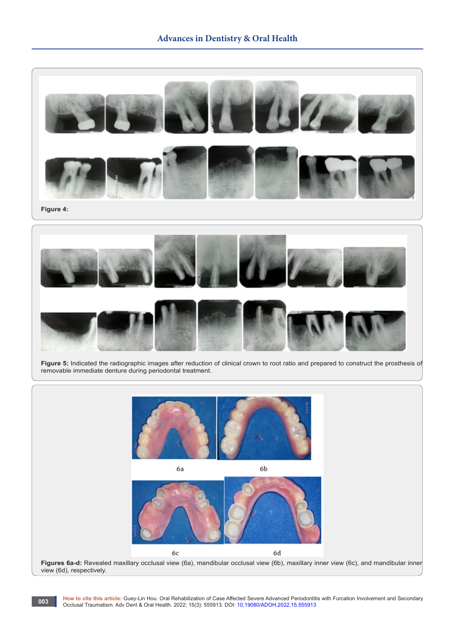

**Figure 5:** Indicated the radiographic images after reduction of clinical crown to root ratio and prepared to construct the prosthesis of removable immediate denture during periodontal treatment.



**How to cite this article:** Guey-Lin Hou. Oral Rehabilization of Case Affected Severe Advanced Periodontitis with Furcation Involvement and Secondary Occlusal Traumatism. Adv Dent & Oral Health. 2022; 15(3): 555913. DOI: [10.19080/ADOH.2022.15.555](http://dx.doi.org/10.19080/ADOH.2022.15.555913)913

**003**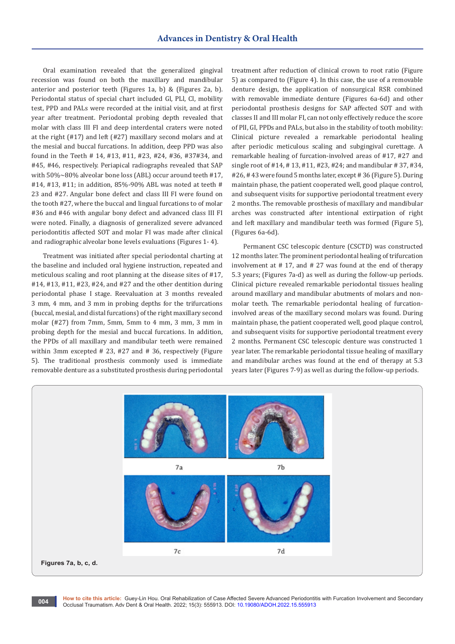Oral examination revealed that the generalized gingival recession was found on both the maxillary and mandibular anterior and posterior teeth (Figures 1a, b) & (Figures 2a, b). Periodontal status of special chart included Gl, PLl, Cl, mobility test, PPD and PALs were recorded at the initial visit, and at first year after treatment. Periodontal probing depth revealed that molar with class III FI and deep interdental craters were noted at the right (#17) and left (#27) maxillary second molars and at the mesial and buccal furcations. In addition, deep PPD was also found in the Teeth # 14, #13, #11, #23, #24, #36, #37#34, and #45, #46, respectively. Periapical radiographs revealed that SAP with 50%~80% alveolar bone loss (ABL) occur around teeth #17, #14, #13, #11; in addition, 85%-90% ABL was noted at teeth # 23 and #27. Angular bone defect and class III FI were found on the tooth #27, where the buccal and lingual furcations to of molar #36 and #46 with angular bony defect and advanced class III FI were noted. Finally, a diagnosis of generalized severe advanced periodontitis affected SOT and molar FI was made after clinical and radiographic alveolar bone levels evaluations (Figures 1- 4).

Treatment was initiated after special periodontal charting at the baseline and included oral hygiene instruction, repeated and meticulous scaling and root planning at the disease sites of #17, #14, #13, #11, #23, #24, and #27 and the other dentition during periodontal phase I stage. Reevaluation at 3 months revealed 3 mm, 4 mm, and 3 mm in probing depths for the trifurcations (buccal, mesial, and distal furcations) of the right maxillary second molar (#27) from 7mm, 5mm, 5mm to 4 mm, 3 mm, 3 mm in probing depth for the mesial and buccal furcations. In addition, the PPDs of all maxillary and mandibular teeth were remained within 3mm excepted # 23, #27 and # 36, respectively (Figure 5). The traditional prosthesis commonly used is immediate removable denture as a substituted prosthesis during periodontal

treatment after reduction of clinical crown to root ratio (Figure 5) as compared to (Figure 4). In this case, the use of a removable denture design, the application of nonsurgical RSR combined with removable immediate denture (Figures 6a-6d) and other periodontal prosthesis designs for SAP affected SOT and with classes II and III molar FI, can not only effectively reduce the score of PlI, GI, PPDs and PALs, but also in the stability of tooth mobility: Clinical picture revealed a remarkable periodontal healing after periodic meticulous scaling and subgingival curettage. A remarkable healing of furcation-involved areas of #17, #27 and single root of #14, # 13, #11, #23, #24; and mandibular # 37, #34, #26, # 43 were found 5 months later, except # 36 (Figure 5). During maintain phase, the patient cooperated well, good plaque control, and subsequent visits for supportive periodontal treatment every 2 months. The removable prosthesis of maxillary and mandibular arches was constructed after intentional extirpation of right and left maxillary and mandibular teeth was formed (Figure 5), (Figures 6a-6d).

Permanent CSC telescopic denture (CSCTD) was constructed 12 months later. The prominent periodontal healing of trifurcation involvement at  $# 17$ , and  $# 27$  was found at the end of therapy 5.3 years; (Figures 7a-d) as well as during the follow-up periods. Clinical picture revealed remarkable periodontal tissues healing around maxillary and mandibular abutments of molars and nonmolar teeth. The remarkable periodontal healing of furcationinvolved areas of the maxillary second molars was found. During maintain phase, the patient cooperated well, good plaque control, and subsequent visits for supportive periodontal treatment every 2 months. Permanent CSC telescopic denture was constructed 1 year later. The remarkable periodontal tissue healing of maxillary and mandibular arches was found at the end of therapy at 5.3 years later (Figures 7-9) as well as during the follow-up periods.



**How to cite this article:** Guey-Lin Hou. Oral Rehabilization of Case Affected Severe Advanced Periodontitis with Furcation Involvement and Secondary Occlusal Traumatism. Adv Dent & Oral Health. 2022; 15(3): 555913. DOI: [10.19080/ADOH.2022.15.555](http://dx.doi.org/10.19080/ADOH.2022.15.555913)913 **004**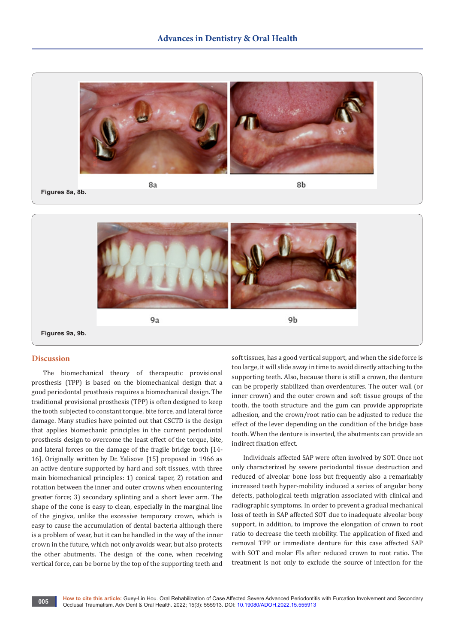

**Figures 8a, 8b.**



# **Discussion**

The biomechanical theory of therapeutic provisional prosthesis (TPP) is based on the biomechanical design that a good periodontal prosthesis requires a biomechanical design. The traditional provisional prosthesis (TPP) is often designed to keep the tooth subjected to constant torque, bite force, and lateral force damage. Many studies have pointed out that CSCTD is the design that applies biomechanic principles in the current periodontal prosthesis design to overcome the least effect of the torque, bite, and lateral forces on the damage of the fragile bridge tooth [14- 16]. Originally written by Dr. Yalisove [15] proposed in 1966 as an active denture supported by hard and soft tissues, with three main biomechanical principles: 1) conical taper, 2) rotation and rotation between the inner and outer crowns when encountering greater force; 3) secondary splinting and a short lever arm. The shape of the cone is easy to clean, especially in the marginal line of the gingiva, unlike the excessive temporary crown, which is easy to cause the accumulation of dental bacteria although there is a problem of wear, but it can be handled in the way of the inner crown in the future, which not only avoids wear, but also protects the other abutments. The design of the cone, when receiving vertical force, can be borne by the top of the supporting teeth and

soft tissues, has a good vertical support, and when the side force is too large, it will slide away in time to avoid directly attaching to the supporting teeth. Also, because there is still a crown, the denture can be properly stabilized than overdentures. The outer wall (or inner crown) and the outer crown and soft tissue groups of the tooth, the tooth structure and the gum can provide appropriate adhesion, and the crown/root ratio can be adjusted to reduce the effect of the lever depending on the condition of the bridge base tooth. When the denture is inserted, the abutments can provide an indirect fixation effect.

Individuals affected SAP were often involved by SOT. Once not only characterized by severe periodontal tissue destruction and reduced of alveolar bone loss but frequently also a remarkably increased teeth hyper-mobility induced a series of angular bony defects, pathological teeth migration associated with clinical and radiographic symptoms. In order to prevent a gradual mechanical loss of teeth in SAP affected SOT due to inadequate alveolar bony support, in addition, to improve the elongation of crown to root ratio to decrease the teeth mobility. The application of fixed and removal TPP or immediate denture for this case affected SAP with SOT and molar FIs after reduced crown to root ratio. The treatment is not only to exclude the source of infection for the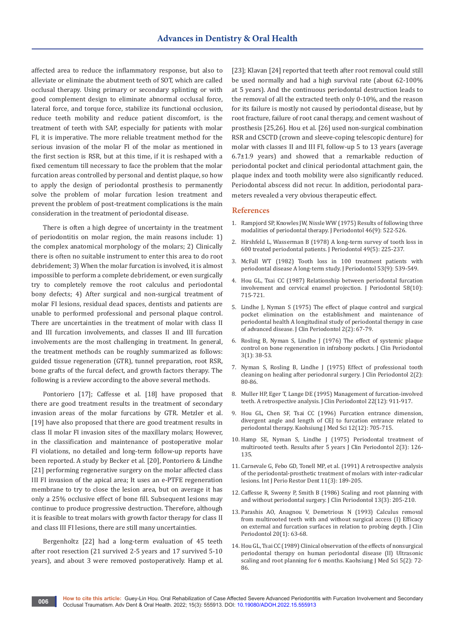affected area to reduce the inflammatory response, but also to alleviate or eliminate the abutment teeth of SOT, which are called occlusal therapy. Using primary or secondary splinting or with good complement design to eliminate abnormal occlusal force, lateral force, and torque force, stabilize its functional occlusion, reduce teeth mobility and reduce patient discomfort, is the treatment of teeth with SAP, especially for patients with molar FI, it is imperative. The more reliable treatment method for the serious invasion of the molar FI of the molar as mentioned in the first section is RSR, but at this time, if it is reshaped with a fixed cementum till necessary to face the problem that the molar furcation areas controlled by personal and dentist plaque, so how to apply the design of periodontal prosthesis to permanently solve the problem of molar furcation lesion treatment and prevent the problem of post-treatment complications is the main consideration in the treatment of periodontal disease.

There is often a high degree of uncertainty in the treatment of periodontitis on molar region, the main reasons include: 1) the complex anatomical morphology of the molars; 2) Clinically there is often no suitable instrument to enter this area to do root debridement; 3) When the molar furcation is involved, it is almost impossible to perform a complete debridement, or even surgically try to completely remove the root calculus and periodontal bony defects; 4) After surgical and non-surgical treatment of molar FI lesions, residual dead spaces, dentists and patients are unable to performed professional and personal plaque control. There are uncertainties in the treatment of molar with class II and III furcation involvements, and classes II and III furcation involvements are the most challenging in treatment. In general, the treatment methods can be roughly summarized as follows: guided tissue regeneration (GTR), tunnel preparation, root RSR, bone grafts of the furcal defect, and growth factors therapy. The following is a review according to the above several methods.

Pontoriero [17]; Caffesse et al. [18] have proposed that there are good treatment results in the treatment of secondary invasion areas of the molar furcations by GTR. Metzler et al. [19] have also proposed that there are good treatment results in class II molar FI invasion sites of the maxillary molars; However, in the classification and maintenance of postoperative molar FI violations, no detailed and long-term follow-up reports have been reported. A study by Becker et al. [20], Pontoriero & Lindhe [21] performing regenerative surgery on the molar affected class III FI invasion of the apical area; It uses an e-PTFE regeneration membrane to try to close the lesion area, but on average it has only a 25% occlusive effect of bone fill. Subsequent lesions may continue to produce progressive destruction. Therefore, although it is feasible to treat molars with growth factor therapy for class II and class III FI lesions, there are still many uncertainties.

Bergenholtz [22] had a long-term evaluation of 45 teeth after root resection (21 survived 2-5 years and 17 survived 5-10 years), and about 3 were removed postoperatively. Hamp et al. [23]; Klavan [24] reported that teeth after root removal could still be used normally and had a high survival rate (about 62-100% at 5 years). And the continuous periodontal destruction leads to the removal of all the extracted teeth only 0-10%, and the reason for its failure is mostly not caused by periodontal disease, but by root fracture, failure of root canal therapy, and cement washout of prosthesis [25,26]. Hou et al. [26] used non-surgical combination RSR and CSCTD (crown and sleeve-coping telescopic denture) for molar with classes II and III FI, follow-up 5 to 13 years (average 6.7±1.9 years) and showed that a remarkable reduction of periodontal pocket and clinical periodontal attachment gain, the plaque index and tooth mobility were also significantly reduced. Periodontal abscess did not recur. In addition, periodontal parameters revealed a very obvious therapeutic effect.

# **References**

- 1. [Rampjord SP, Knowles JW, Nissle WW \(1975\) Results of following three](https://pubmed.ncbi.nlm.nih.gov/1057645/)  [modalities of periodontal therapy. J Periodontol 46\(9\): 522-526.](https://pubmed.ncbi.nlm.nih.gov/1057645/)
- 2. [Hirshfeld L, Wasserman B \(1978\) A long-term survey of tooth loss in](https://pubmed.ncbi.nlm.nih.gov/277674/)  [600 treated periodontal patients. J Periodontol 49\(5\): 225-237.](https://pubmed.ncbi.nlm.nih.gov/277674/)
- 3. [McFall WT \(1982\) Tooth loss in 100 treatment patients with](https://pubmed.ncbi.nlm.nih.gov/6957591/)  [periodontal disease A long-term study. J Periodontol 53\(9\): 539-549.](https://pubmed.ncbi.nlm.nih.gov/6957591/)
- 4. [Hou GL, Tsai CC \(1987\) Relationship between periodontal furcation](https://pubmed.ncbi.nlm.nih.gov/3478466/)  [involvement and cervical enamel projection. J Periodontol 58\(10\):](https://pubmed.ncbi.nlm.nih.gov/3478466/)  [715-721.](https://pubmed.ncbi.nlm.nih.gov/3478466/)
- 5. [Lindhe J, Nyman S \(1975\) The effect of plaque control and surgical](https://pubmed.ncbi.nlm.nih.gov/1055729/)  [pocket elimination on the establishment and maintenance of](https://pubmed.ncbi.nlm.nih.gov/1055729/)  [periodontal health A longitudinal study of periodontal therapy in case](https://pubmed.ncbi.nlm.nih.gov/1055729/)  [of advanced disease. J Clin Periodontol 2\(2\): 67-79.](https://pubmed.ncbi.nlm.nih.gov/1055729/)
- 6. [Rosling B, Nyman S, Lindhe J \(1976\) The effect of systemic plaque](https://pubmed.ncbi.nlm.nih.gov/767366/)  [control on bone regeneration in infrabony pockets. J Clin Periodontol](https://pubmed.ncbi.nlm.nih.gov/767366/)  [3\(1\): 38-53.](https://pubmed.ncbi.nlm.nih.gov/767366/)
- 7. [Nyman S, Rosling B, Lindhe J \(1975\) Effect of professional tooth](https://pubmed.ncbi.nlm.nih.gov/1094035/)  [cleaning on healing after periodonral surgery. J Clin Periodontol 2\(2\):](https://pubmed.ncbi.nlm.nih.gov/1094035/)  [80-86.](https://pubmed.ncbi.nlm.nih.gov/1094035/)
- 8. [Muller HP, Eger T, Lange DE \(1995\) Management of furcation-involved](https://pubmed.ncbi.nlm.nih.gov/8613558/)  [teeth. A retrospective analysis. J Clin Periodontol 22\(12\): 911-917.](https://pubmed.ncbi.nlm.nih.gov/8613558/)
- 9. [Hou GL, Chen SF, Tsai CC \(1996\) Furcation entrance dimension,](https://pubmed.ncbi.nlm.nih.gov/9011129/)  [divergent angle and length of CEJ to furcation entrance related to](https://pubmed.ncbi.nlm.nih.gov/9011129/)  [periodontal therapy. Kaohsiung J Med Sci 12\(12\): 705-715.](https://pubmed.ncbi.nlm.nih.gov/9011129/)
- 10. [Hamp SE, Nyman S, Lindhe J \(1975\) Periodontal treatment of](https://pubmed.ncbi.nlm.nih.gov/1058213/)  [multirooted teeth. Results after 5 years J Clin Periodontol 2\(3\): 126-](https://pubmed.ncbi.nlm.nih.gov/1058213/) [135.](https://pubmed.ncbi.nlm.nih.gov/1058213/)
- 11. [Carnevale G, Febo GD, Tonell MP, et al. \(1991\) A retrospective analysis](https://pubmed.ncbi.nlm.nih.gov/1802876/)  [of the periodontal-prosthetic treatment of molars with inter-radicular](https://pubmed.ncbi.nlm.nih.gov/1802876/)  [lesions. Int J Perio Restor Dent 11\(3\): 189-205.](https://pubmed.ncbi.nlm.nih.gov/1802876/)
- 12. [Caffesse R, Sweeny P, Smith B \(1986\) Scaling and root planning with](https://pubmed.ncbi.nlm.nih.gov/3517073/)  [and without periodontal surgery. J Clin Periodontol 13\(3\): 205-210.](https://pubmed.ncbi.nlm.nih.gov/3517073/)
- 13. [Parashis AO, Anagnou V, Demetrious N \(1993\) Calculus removal](https://pubmed.ncbi.nlm.nih.gov/8421119/)  [from multirooted teeth with and without surgical access \(I\) Efficacy](https://pubmed.ncbi.nlm.nih.gov/8421119/)  [on external and furcation surfaces in relation to probing depth. J Clin](https://pubmed.ncbi.nlm.nih.gov/8421119/)  [Periodontol 20\(1\): 63-68.](https://pubmed.ncbi.nlm.nih.gov/8421119/)
- 14. [Hou GL, Tsai CC \(1989\) Clinical observation of the effects of nonsurgical](https://pubmed.ncbi.nlm.nih.gov/2659813/)  [periodontal therapy on human periodontal disease \(II\) Ultrasonic](https://pubmed.ncbi.nlm.nih.gov/2659813/)  [scaling and root planning for 6 months. Kaohsiung J Med Sci 5\(2\): 72-](https://pubmed.ncbi.nlm.nih.gov/2659813/) [86.](https://pubmed.ncbi.nlm.nih.gov/2659813/)